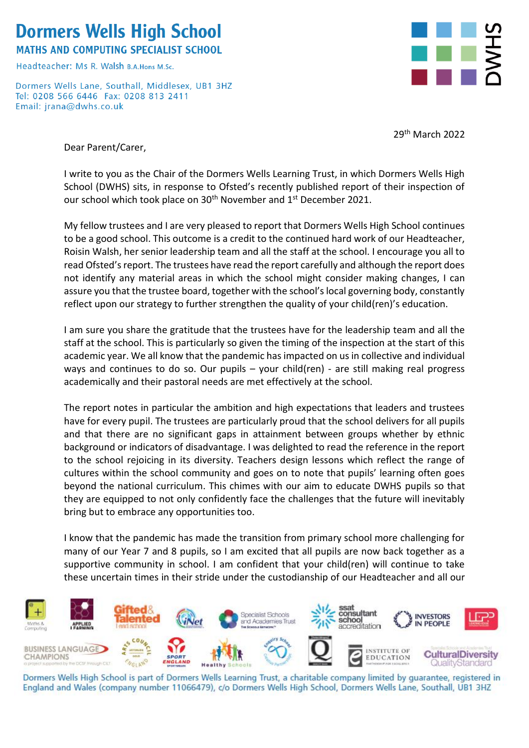## **Dormers Wells High School**

**MATHS AND COMPUTING SPECIALIST SCHOOL** 

Headteacher: Ms R, Walsh B A Hons M Sc

Dormers Wells Lane, Southall, Middlesex, UB1 3HZ Tel: 0208 566 6446 Fax: 0208 813 2411 Email: jrana@dwhs.co.uk



29<sup>th</sup> March 2022

Dear Parent/Carer,

I write to you as the Chair of the Dormers Wells Learning Trust, in which Dormers Wells High School (DWHS) sits, in response to Ofsted's recently published report of their inspection of our school which took place on 30<sup>th</sup> November and 1<sup>st</sup> December 2021.

My fellow trustees and I are very pleased to report that Dormers Wells High School continues to be a good school. This outcome is a credit to the continued hard work of our Headteacher, Roisin Walsh, her senior leadership team and all the staff at the school. I encourage you all to read Ofsted's report. The trustees have read the report carefully and although the report does not identify any material areas in which the school might consider making changes, I can assure you that the trustee board, together with the school's local governing body, constantly reflect upon our strategy to further strengthen the quality of your child(ren)'s education.

I am sure you share the gratitude that the trustees have for the leadership team and all the staff at the school. This is particularly so given the timing of the inspection at the start of this academic year. We all know that the pandemic has impacted on us in collective and individual ways and continues to do so. Our pupils  $-$  your child(ren) - are still making real progress academically and their pastoral needs are met effectively at the school.

The report notes in particular the ambition and high expectations that leaders and trustees have for every pupil. The trustees are particularly proud that the school delivers for all pupils and that there are no significant gaps in attainment between groups whether by ethnic background or indicators of disadvantage. I was delighted to read the reference in the report to the school rejoicing in its diversity. Teachers design lessons which reflect the range of cultures within the school community and goes on to note that pupils' learning often goes beyond the national curriculum. This chimes with our aim to educate DWHS pupils so that they are equipped to not only confidently face the challenges that the future will inevitably bring but to embrace any opportunities too.

I know that the pandemic has made the transition from primary school more challenging for many of our Year 7 and 8 pupils, so I am excited that all pupils are now back together as a supportive community in school. I am confident that your child(ren) will continue to take these uncertain times in their stride under the custodianship of our Headteacher and all our



Dormers Wells High School is part of Dormers Wells Learning Trust, a charitable company limited by guarantee, registered in England and Wales (company number 11066479), c/o Dormers Wells High School, Dormers Wells Lane, Southall, UB1 3HZ